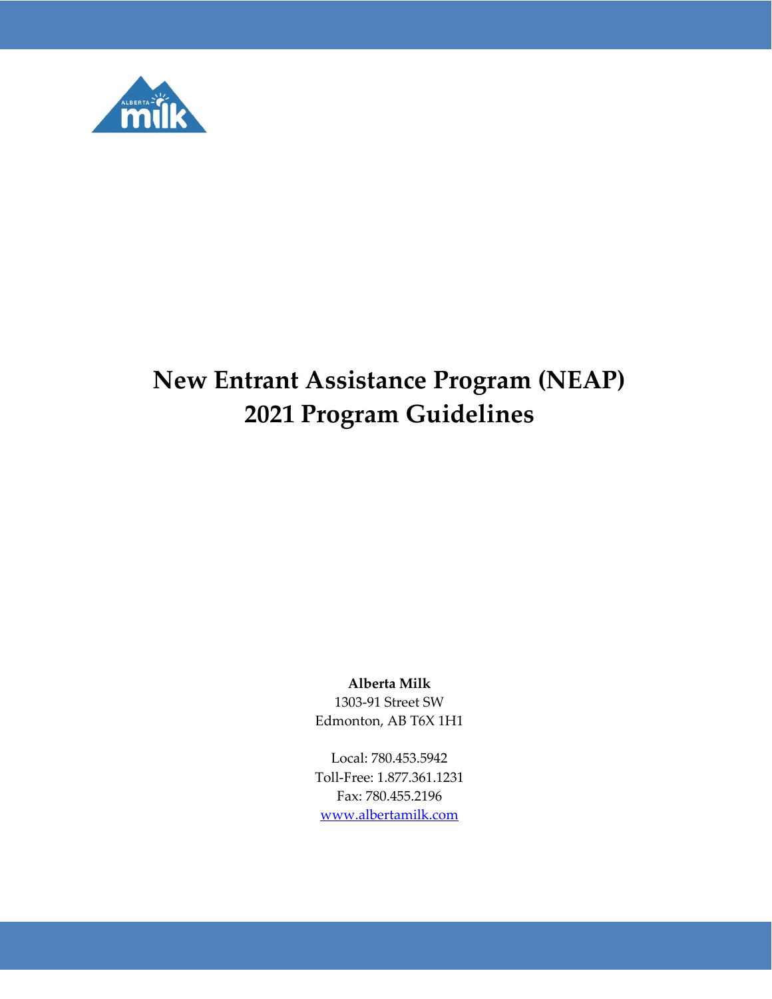

# **New Entrant Assistance Program (NEAP) 2021 Program Guidelines**

#### **Alberta Milk**

1303-91 Street SW Edmonton, AB T6X 1H1

Local: 780.453.5942 Toll-Free: 1.877.361.1231 Fax: 780.455.2196 [www.albertamilk.com](http://www.albertamilk.com/)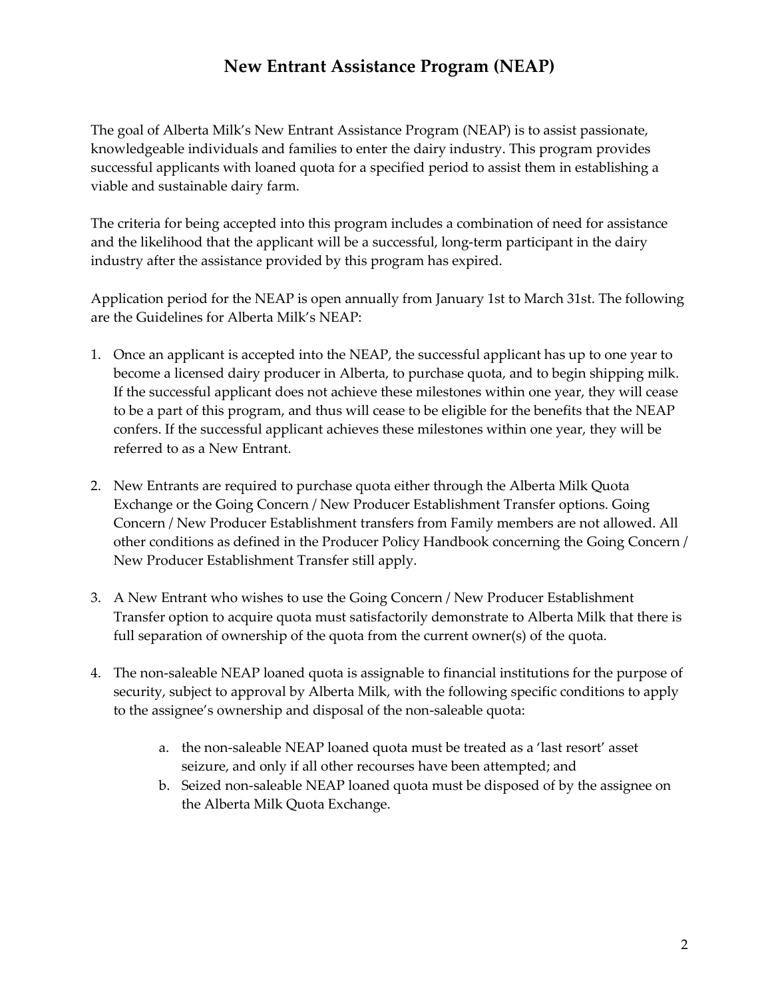#### **New Entrant Assistance Program (NEAP)**

The goal of Alberta Milk's New Entrant Assistance Program (NEAP) is to assist passionate, knowledgeable individuals and families to enter the dairy industry. This program provides successful applicants with loaned quota for a specified period to assist them in establishing a viable and sustainable dairy farm.

The criteria for being accepted into this program includes a combination of need for assistance and the likelihood that the applicant will be a successful, long-term participant in the dairy industry after the assistance provided by this program has expired.

Application period for the NEAP is open annually from January 1st to March 31st. The following are the Guidelines for Alberta Milk's NEAP:

- 1. Once an applicant is accepted into the NEAP, the successful applicant has up to one year to become a licensed dairy producer in Alberta, to purchase quota, and to begin shipping milk. If the successful applicant does not achieve these milestones within one year, they will cease to be a part of this program, and thus will cease to be eligible for the benefits that the NEAP confers. If the successful applicant achieves these milestones within one year, they will be referred to as a New Entrant.
- 2. New Entrants are required to purchase quota either through the Alberta Milk Quota Exchange or the Going Concern / New Producer Establishment Transfer options. Going Concern / New Producer Establishment transfers from Family members are not allowed. All other conditions as defined in the Producer Policy Handbook concerning the Going Concern / New Producer Establishment Transfer still apply.
- 3. A New Entrant who wishes to use the Going Concern / New Producer Establishment Transfer option to acquire quota must satisfactorily demonstrate to Alberta Milk that there is full separation of ownership of the quota from the current owner(s) of the quota.
- 4. The non-saleable NEAP loaned quota is assignable to financial institutions for the purpose of security, subject to approval by Alberta Milk, with the following specific conditions to apply to the assignee's ownership and disposal of the non-saleable quota:
	- a. the non-saleable NEAP loaned quota must be treated as a 'last resort' asset seizure, and only if all other recourses have been attempted; and
	- b. Seized non-saleable NEAP loaned quota must be disposed of by the assignee on the Alberta Milk Quota Exchange.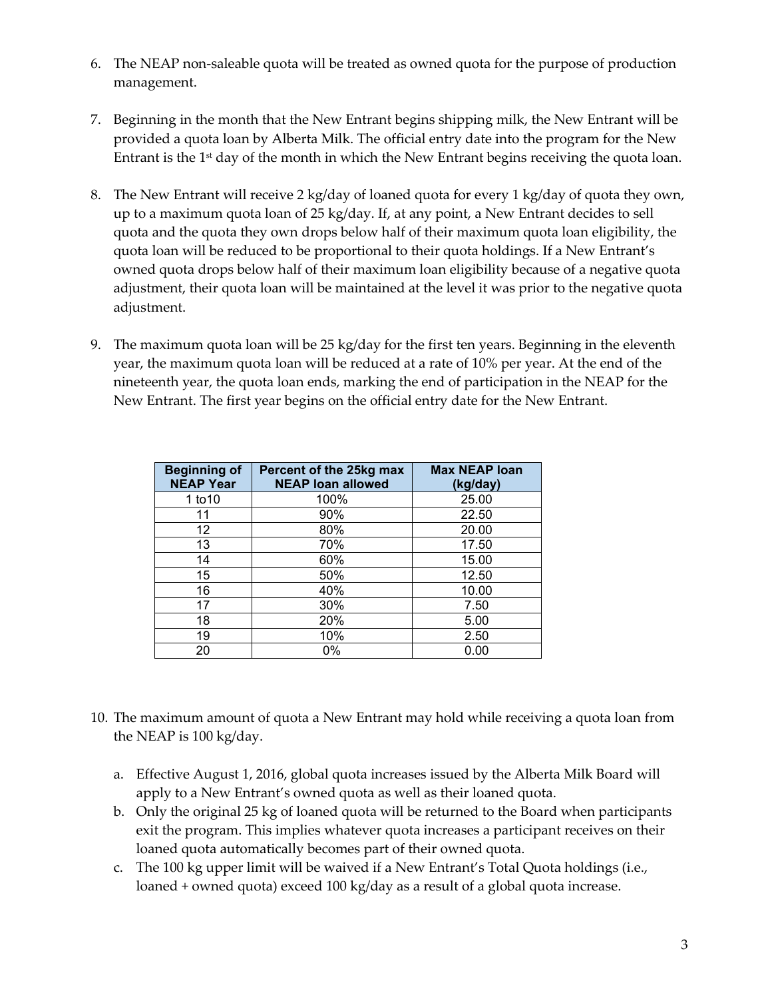- 6. The NEAP non-saleable quota will be treated as owned quota for the purpose of production management.
- 7. Beginning in the month that the New Entrant begins shipping milk, the New Entrant will be provided a quota loan by Alberta Milk. The official entry date into the program for the New Entrant is the  $1<sup>st</sup>$  day of the month in which the New Entrant begins receiving the quota loan.
- 8. The New Entrant will receive 2 kg/day of loaned quota for every 1 kg/day of quota they own, up to a maximum quota loan of 25 kg/day. If, at any point, a New Entrant decides to sell quota and the quota they own drops below half of their maximum quota loan eligibility, the quota loan will be reduced to be proportional to their quota holdings. If a New Entrant's owned quota drops below half of their maximum loan eligibility because of a negative quota adjustment, their quota loan will be maintained at the level it was prior to the negative quota adjustment.
- 9. The maximum quota loan will be 25 kg/day for the first ten years. Beginning in the eleventh year, the maximum quota loan will be reduced at a rate of 10% per year. At the end of the nineteenth year, the quota loan ends, marking the end of participation in the NEAP for the New Entrant. The first year begins on the official entry date for the New Entrant.

| <b>Beginning of</b><br><b>NEAP Year</b> | Percent of the 25kg max<br><b>NEAP loan allowed</b> | <b>Max NEAP loan</b><br>(kg/day) |
|-----------------------------------------|-----------------------------------------------------|----------------------------------|
| 1 to 10                                 | 100%                                                | 25.00                            |
| 11                                      | 90%                                                 | 22.50                            |
| 12                                      | 80%                                                 | 20.00                            |
| 13                                      | 70%                                                 | 17.50                            |
| 14                                      | 60%                                                 | 15.00                            |
| 15                                      | 50%                                                 | 12.50                            |
| 16                                      | 40%                                                 | 10.00                            |
| 17                                      | 30%                                                 | 7.50                             |
| 18                                      | 20%                                                 | 5.00                             |
| 19                                      | 10%                                                 | 2.50                             |
| 20                                      | 0%                                                  | 0.00                             |

- 10. The maximum amount of quota a New Entrant may hold while receiving a quota loan from the NEAP is 100 kg/day.
	- a. Effective August 1, 2016, global quota increases issued by the Alberta Milk Board will apply to a New Entrant's owned quota as well as their loaned quota.
	- b. Only the original 25 kg of loaned quota will be returned to the Board when participants exit the program. This implies whatever quota increases a participant receives on their loaned quota automatically becomes part of their owned quota.
	- c. The 100 kg upper limit will be waived if a New Entrant's Total Quota holdings (i.e., loaned + owned quota) exceed 100 kg/day as a result of a global quota increase.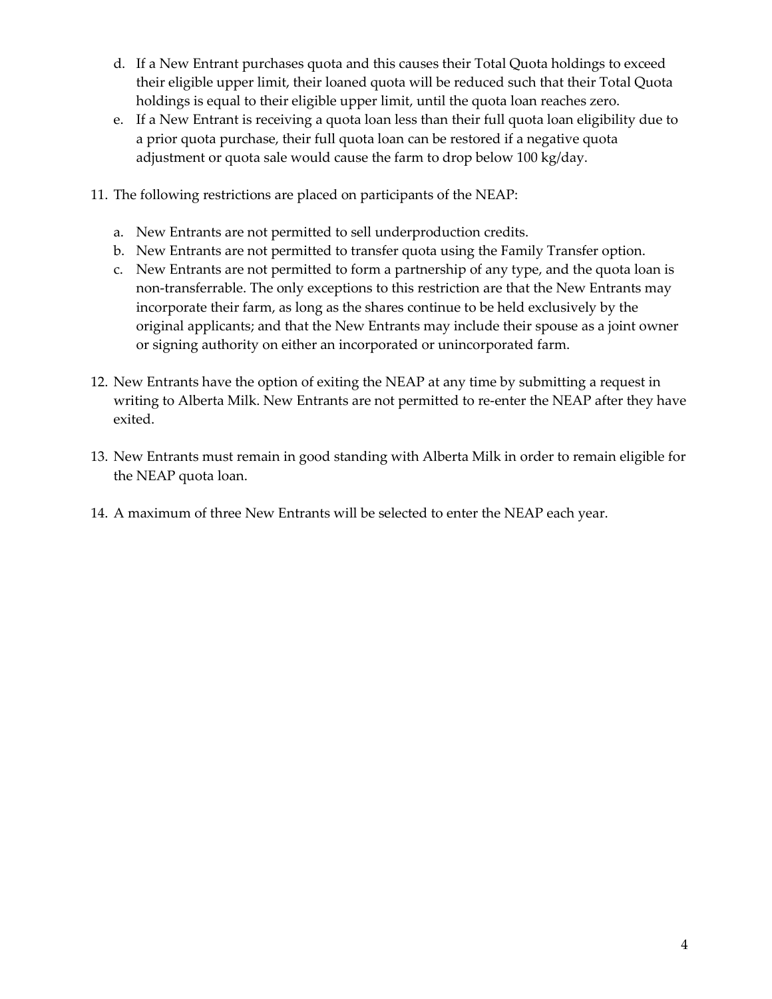- d. If a New Entrant purchases quota and this causes their Total Quota holdings to exceed their eligible upper limit, their loaned quota will be reduced such that their Total Quota holdings is equal to their eligible upper limit, until the quota loan reaches zero.
- e. If a New Entrant is receiving a quota loan less than their full quota loan eligibility due to a prior quota purchase, their full quota loan can be restored if a negative quota adjustment or quota sale would cause the farm to drop below 100 kg/day.
- 11. The following restrictions are placed on participants of the NEAP:
	- a. New Entrants are not permitted to sell underproduction credits.
	- b. New Entrants are not permitted to transfer quota using the Family Transfer option.
	- c. New Entrants are not permitted to form a partnership of any type, and the quota loan is non-transferrable. The only exceptions to this restriction are that the New Entrants may incorporate their farm, as long as the shares continue to be held exclusively by the original applicants; and that the New Entrants may include their spouse as a joint owner or signing authority on either an incorporated or unincorporated farm.
- 12. New Entrants have the option of exiting the NEAP at any time by submitting a request in writing to Alberta Milk. New Entrants are not permitted to re-enter the NEAP after they have exited.
- 13. New Entrants must remain in good standing with Alberta Milk in order to remain eligible for the NEAP quota loan.
- 14. A maximum of three New Entrants will be selected to enter the NEAP each year.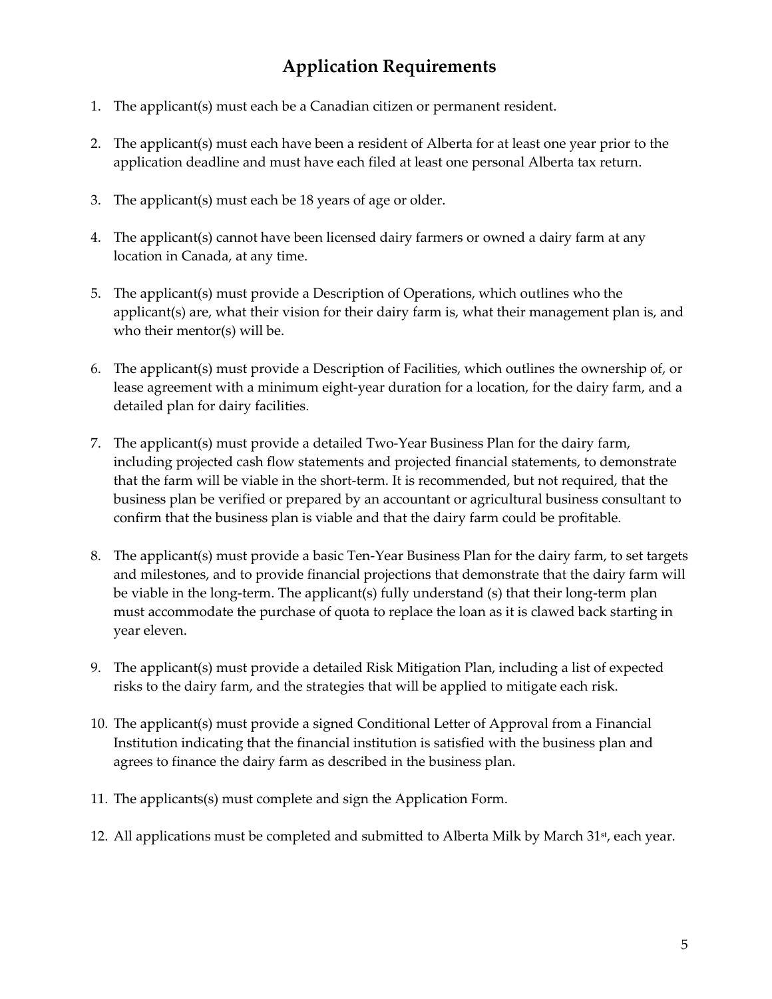## **Application Requirements**

- 1. The applicant(s) must each be a Canadian citizen or permanent resident.
- 2. The applicant(s) must each have been a resident of Alberta for at least one year prior to the application deadline and must have each filed at least one personal Alberta tax return.
- 3. The applicant(s) must each be 18 years of age or older.
- 4. The applicant(s) cannot have been licensed dairy farmers or owned a dairy farm at any location in Canada, at any time.
- 5. The applicant(s) must provide a Description of Operations, which outlines who the applicant(s) are, what their vision for their dairy farm is, what their management plan is, and who their mentor(s) will be.
- 6. The applicant(s) must provide a Description of Facilities, which outlines the ownership of, or lease agreement with a minimum eight-year duration for a location, for the dairy farm, and a detailed plan for dairy facilities.
- 7. The applicant(s) must provide a detailed Two-Year Business Plan for the dairy farm, including projected cash flow statements and projected financial statements, to demonstrate that the farm will be viable in the short-term. It is recommended, but not required, that the business plan be verified or prepared by an accountant or agricultural business consultant to confirm that the business plan is viable and that the dairy farm could be profitable.
- 8. The applicant(s) must provide a basic Ten-Year Business Plan for the dairy farm, to set targets and milestones, and to provide financial projections that demonstrate that the dairy farm will be viable in the long-term. The applicant(s) fully understand (s) that their long-term plan must accommodate the purchase of quota to replace the loan as it is clawed back starting in year eleven.
- 9. The applicant(s) must provide a detailed Risk Mitigation Plan, including a list of expected risks to the dairy farm, and the strategies that will be applied to mitigate each risk.
- 10. The applicant(s) must provide a signed Conditional Letter of Approval from a Financial Institution indicating that the financial institution is satisfied with the business plan and agrees to finance the dairy farm as described in the business plan.
- 11. The applicants(s) must complete and sign the Application Form.
- 12. All applications must be completed and submitted to Alberta Milk by March 31st, each year.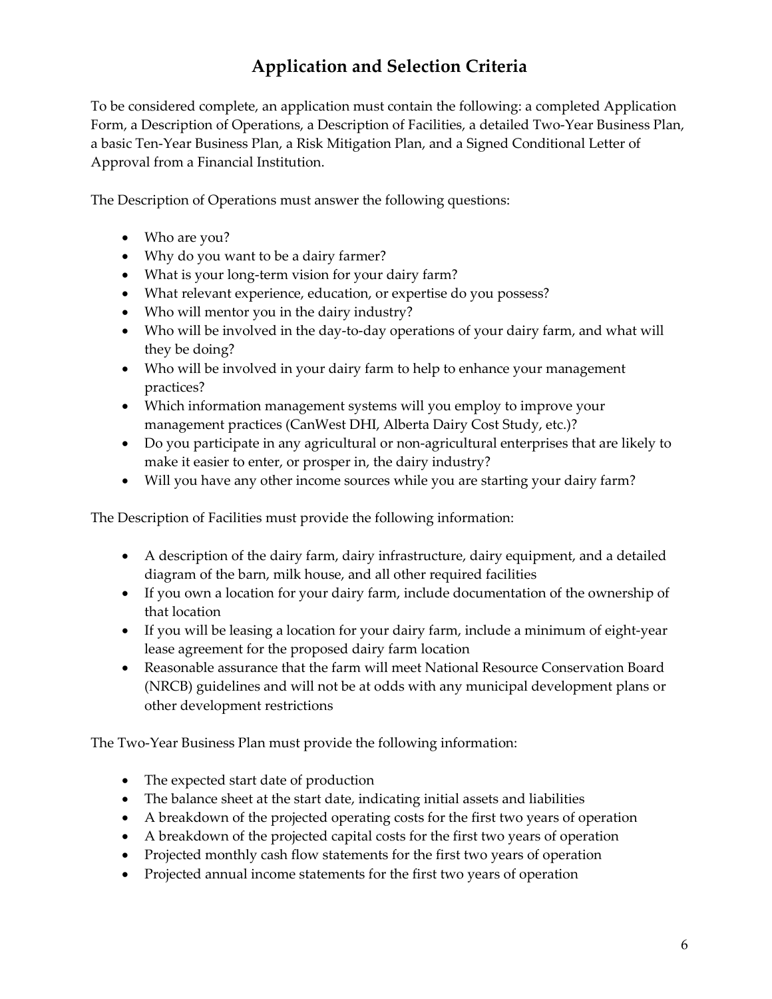## **Application and Selection Criteria**

To be considered complete, an application must contain the following: a completed Application Form, a Description of Operations, a Description of Facilities, a detailed Two-Year Business Plan, a basic Ten-Year Business Plan, a Risk Mitigation Plan, and a Signed Conditional Letter of Approval from a Financial Institution.

The Description of Operations must answer the following questions:

- Who are you?
- Why do you want to be a dairy farmer?
- What is your long-term vision for your dairy farm?
- What relevant experience, education, or expertise do you possess?
- Who will mentor you in the dairy industry?
- Who will be involved in the day-to-day operations of your dairy farm, and what will they be doing?
- Who will be involved in your dairy farm to help to enhance your management practices?
- Which information management systems will you employ to improve your management practices (CanWest DHI, Alberta Dairy Cost Study, etc.)?
- Do you participate in any agricultural or non-agricultural enterprises that are likely to make it easier to enter, or prosper in, the dairy industry?
- Will you have any other income sources while you are starting your dairy farm?

The Description of Facilities must provide the following information:

- A description of the dairy farm, dairy infrastructure, dairy equipment, and a detailed diagram of the barn, milk house, and all other required facilities
- If you own a location for your dairy farm, include documentation of the ownership of that location
- If you will be leasing a location for your dairy farm, include a minimum of eight-year lease agreement for the proposed dairy farm location
- Reasonable assurance that the farm will meet National Resource Conservation Board (NRCB) guidelines and will not be at odds with any municipal development plans or other development restrictions

The Two-Year Business Plan must provide the following information:

- The expected start date of production
- The balance sheet at the start date, indicating initial assets and liabilities
- A breakdown of the projected operating costs for the first two years of operation
- A breakdown of the projected capital costs for the first two years of operation
- Projected monthly cash flow statements for the first two years of operation
- Projected annual income statements for the first two years of operation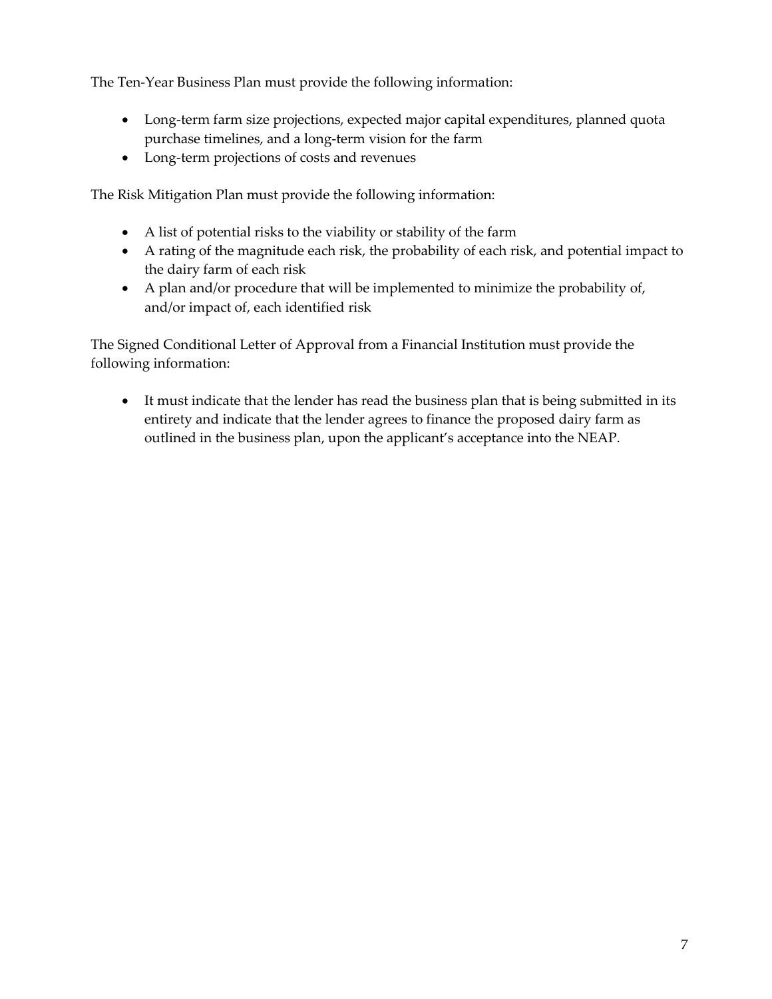The Ten-Year Business Plan must provide the following information:

- Long-term farm size projections, expected major capital expenditures, planned quota purchase timelines, and a long-term vision for the farm
- Long-term projections of costs and revenues

The Risk Mitigation Plan must provide the following information:

- A list of potential risks to the viability or stability of the farm
- A rating of the magnitude each risk, the probability of each risk, and potential impact to the dairy farm of each risk
- A plan and/or procedure that will be implemented to minimize the probability of, and/or impact of, each identified risk

The Signed Conditional Letter of Approval from a Financial Institution must provide the following information:

• It must indicate that the lender has read the business plan that is being submitted in its entirety and indicate that the lender agrees to finance the proposed dairy farm as outlined in the business plan, upon the applicant's acceptance into the NEAP.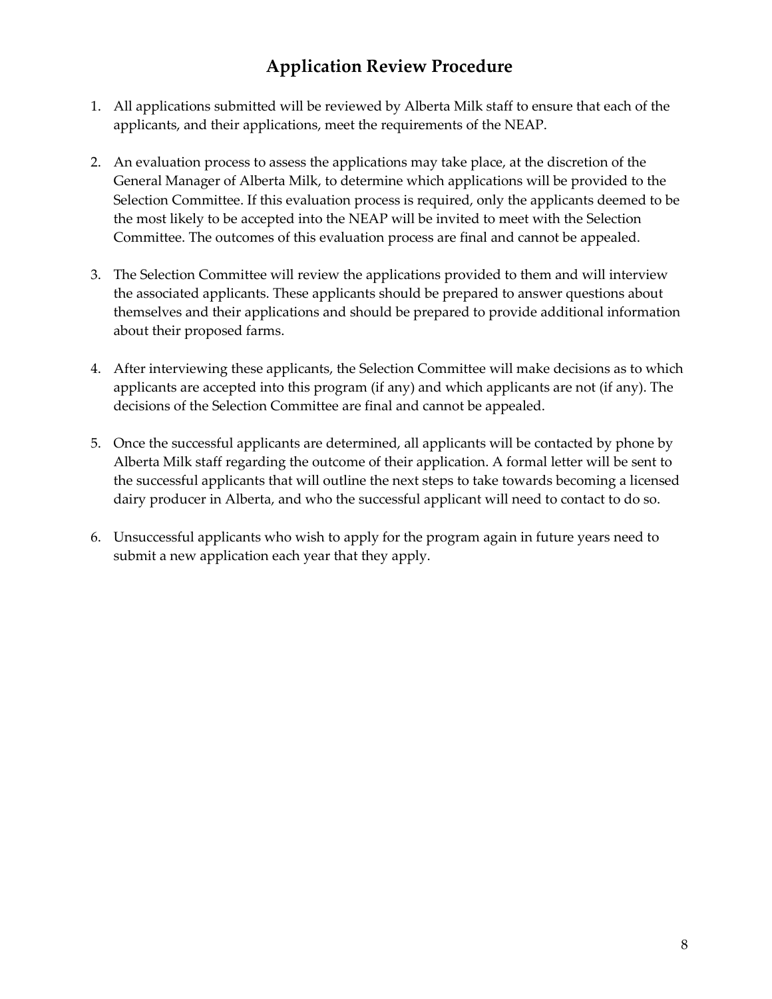#### **Application Review Procedure**

- 1. All applications submitted will be reviewed by Alberta Milk staff to ensure that each of the applicants, and their applications, meet the requirements of the NEAP.
- 2. An evaluation process to assess the applications may take place, at the discretion of the General Manager of Alberta Milk, to determine which applications will be provided to the Selection Committee. If this evaluation process is required, only the applicants deemed to be the most likely to be accepted into the NEAP will be invited to meet with the Selection Committee. The outcomes of this evaluation process are final and cannot be appealed.
- 3. The Selection Committee will review the applications provided to them and will interview the associated applicants. These applicants should be prepared to answer questions about themselves and their applications and should be prepared to provide additional information about their proposed farms.
- 4. After interviewing these applicants, the Selection Committee will make decisions as to which applicants are accepted into this program (if any) and which applicants are not (if any). The decisions of the Selection Committee are final and cannot be appealed.
- 5. Once the successful applicants are determined, all applicants will be contacted by phone by Alberta Milk staff regarding the outcome of their application. A formal letter will be sent to the successful applicants that will outline the next steps to take towards becoming a licensed dairy producer in Alberta, and who the successful applicant will need to contact to do so.
- 6. Unsuccessful applicants who wish to apply for the program again in future years need to submit a new application each year that they apply.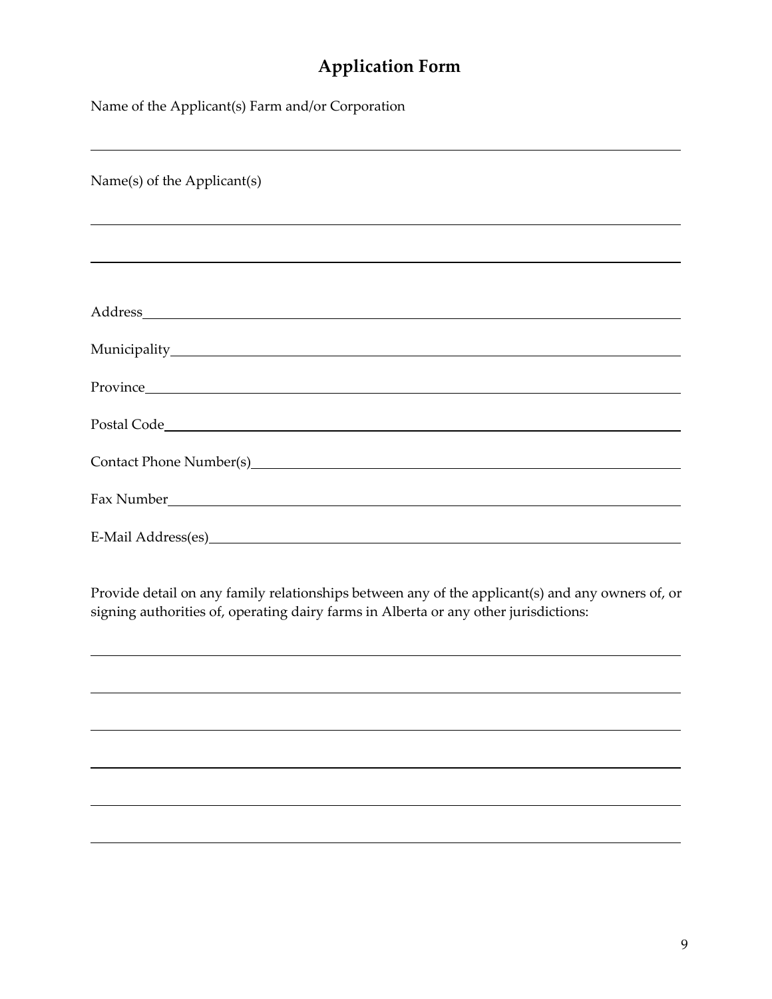## **Application Form**

Name of the Applicant(s) Farm and/or Corporation

| Name(s) of the Applicant(s)                                                                                                                                                                                                    |  |  |
|--------------------------------------------------------------------------------------------------------------------------------------------------------------------------------------------------------------------------------|--|--|
|                                                                                                                                                                                                                                |  |  |
|                                                                                                                                                                                                                                |  |  |
|                                                                                                                                                                                                                                |  |  |
|                                                                                                                                                                                                                                |  |  |
|                                                                                                                                                                                                                                |  |  |
|                                                                                                                                                                                                                                |  |  |
| Postal Code                                                                                                                                                                                                                    |  |  |
|                                                                                                                                                                                                                                |  |  |
| Fax Number The Company of the Company of the Company of the Company of the Company of the Company of the Company of the Company of the Company of the Company of the Company of the Company of the Company of the Company of t |  |  |
| E-Mail Address(es)<br><u>E</u> -Mail Address(es)                                                                                                                                                                               |  |  |

Provide detail on any family relationships between any of the applicant(s) and any owners of, or signing authorities of, operating dairy farms in Alberta or any other jurisdictions: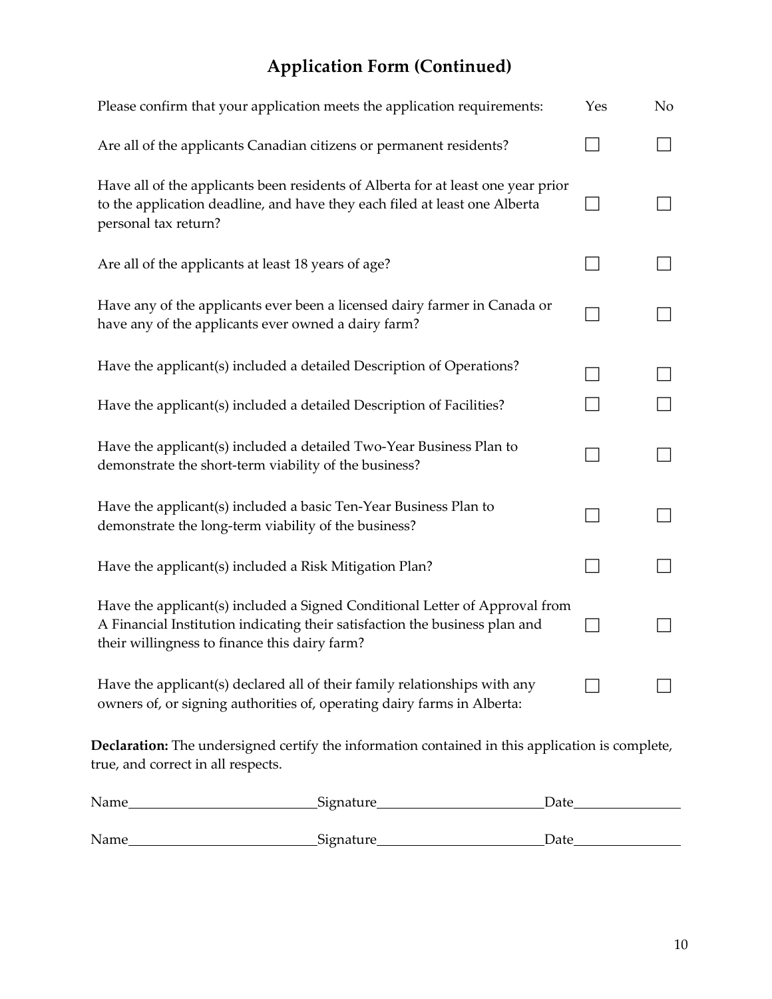## **Application Form (Continued)**

| Please confirm that your application meets the application requirements:                                                                                                                                    |      | Yes | N <sub>o</sub> |
|-------------------------------------------------------------------------------------------------------------------------------------------------------------------------------------------------------------|------|-----|----------------|
| Are all of the applicants Canadian citizens or permanent residents?                                                                                                                                         |      |     |                |
| Have all of the applicants been residents of Alberta for at least one year prior<br>to the application deadline, and have they each filed at least one Alberta<br>personal tax return?                      |      |     |                |
| Are all of the applicants at least 18 years of age?                                                                                                                                                         |      |     |                |
| Have any of the applicants ever been a licensed dairy farmer in Canada or<br>have any of the applicants ever owned a dairy farm?                                                                            |      |     |                |
| Have the applicant(s) included a detailed Description of Operations?                                                                                                                                        |      |     |                |
| Have the applicant(s) included a detailed Description of Facilities?                                                                                                                                        |      |     |                |
| Have the applicant(s) included a detailed Two-Year Business Plan to<br>demonstrate the short-term viability of the business?                                                                                |      |     |                |
| Have the applicant(s) included a basic Ten-Year Business Plan to<br>demonstrate the long-term viability of the business?                                                                                    |      |     |                |
| Have the applicant(s) included a Risk Mitigation Plan?                                                                                                                                                      |      |     |                |
| Have the applicant(s) included a Signed Conditional Letter of Approval from<br>A Financial Institution indicating their satisfaction the business plan and<br>their willingness to finance this dairy farm? |      |     |                |
| Have the applicant(s) declared all of their family relationships with any<br>owners of, or signing authorities of, operating dairy farms in Alberta:                                                        |      |     |                |
| Declaration: The undersigned certify the information contained in this application is complete,<br>true, and correct in all respects.                                                                       |      |     |                |
| _Signature__<br>Name                                                                                                                                                                                        | Date |     |                |

| Signature<br>Date |  | Name |
|-------------------|--|------|
|-------------------|--|------|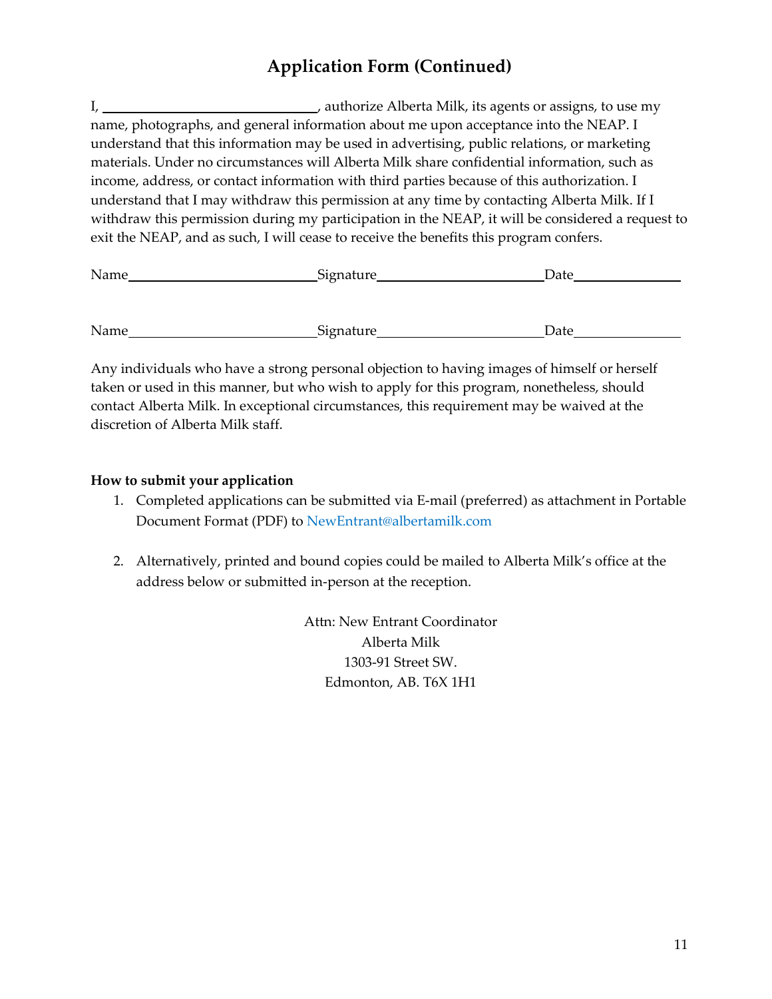#### **Application Form (Continued)**

I, 1. 1. The same contract a methorize Alberta Milk, its agents or assigns, to use my authorize Alberta Milk, its agents or assigns, to use my name, photographs, and general information about me upon acceptance into the NEAP. I understand that this information may be used in advertising, public relations, or marketing materials. Under no circumstances will Alberta Milk share confidential information, such as income, address, or contact information with third parties because of this authorization. I understand that I may withdraw this permission at any time by contacting Alberta Milk. If I withdraw this permission during my participation in the NEAP, it will be considered a request to exit the NEAP, and as such, I will cease to receive the benefits this program confers.

| Name | Signature | Date |  |
|------|-----------|------|--|
|      |           |      |  |
|      |           |      |  |
| Name | Signature | Date |  |

Any individuals who have a strong personal objection to having images of himself or herself taken or used in this manner, but who wish to apply for this program, nonetheless, should contact Alberta Milk. In exceptional circumstances, this requirement may be waived at the discretion of Alberta Milk staff.

#### **How to submit your application**

- 1. Completed applications can be submitted via E-mail (preferred) as attachment in Portable Document Format (PDF) to [NewEntrant@albertamilk.com](mailto:NewEntrant@albertamilk.com)
- 2. Alternatively, printed and bound copies could be mailed to Alberta Milk's office at the address below or submitted in-person at the reception.

Attn: New Entrant Coordinator Alberta Milk 1303-91 Street SW. Edmonton, AB. T6X 1H1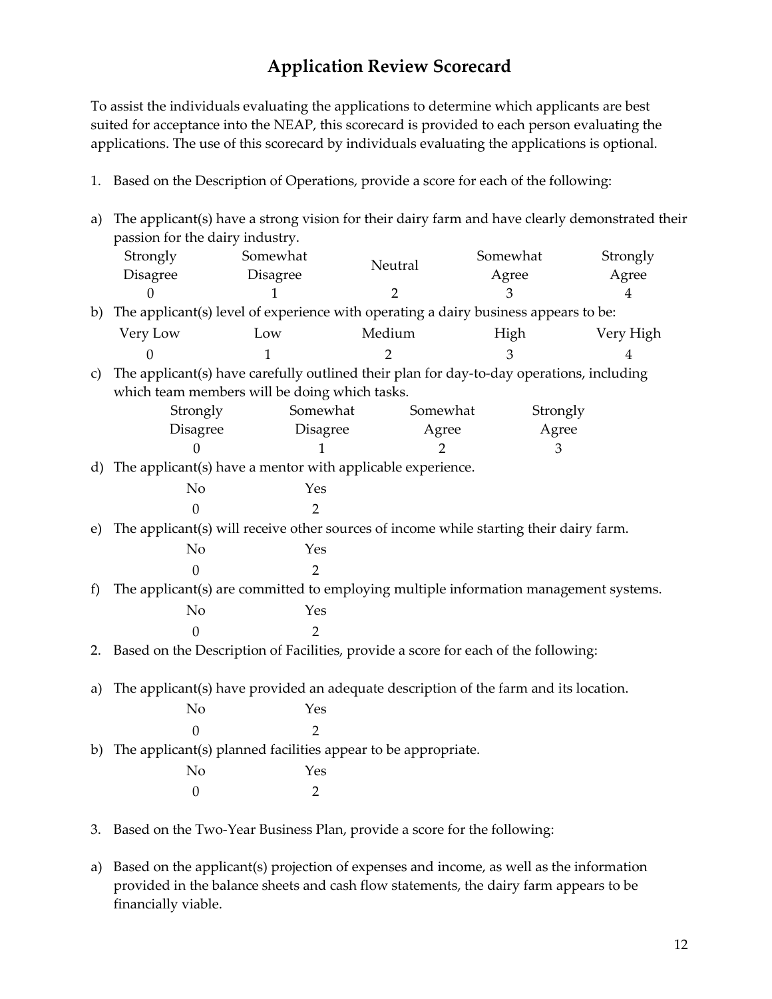#### **Application Review Scorecard**

To assist the individuals evaluating the applications to determine which applicants are best suited for acceptance into the NEAP, this scorecard is provided to each person evaluating the applications. The use of this scorecard by individuals evaluating the applications is optional.

1. Based on the Description of Operations, provide a score for each of the following:

| a)           | The applicant(s) have a strong vision for their dairy farm and have clearly demonstrated their |                                                                                          |                |          |                |
|--------------|------------------------------------------------------------------------------------------------|------------------------------------------------------------------------------------------|----------------|----------|----------------|
|              | passion for the dairy industry.                                                                |                                                                                          |                |          |                |
|              | Strongly                                                                                       | Somewhat                                                                                 | Neutral        | Somewhat | Strongly       |
|              | Disagree                                                                                       | Disagree                                                                                 |                | Agree    | Agree          |
|              |                                                                                                |                                                                                          | 2              | З        | 4              |
|              |                                                                                                | b) The applicant(s) level of experience with operating a dairy business appears to be:   |                |          |                |
|              | Very Low                                                                                       | Low                                                                                      | Medium         | High     | Very High      |
|              | $\Omega$                                                                                       | $\mathbf{1}$                                                                             | $\overline{2}$ | 3        | $\overline{4}$ |
| $\mathbf{C}$ |                                                                                                | The applicant(s) have carefully outlined their plan for day-to-day operations, including |                |          |                |
|              |                                                                                                | which team members will be doing which tasks.                                            |                |          |                |
|              | Strongly                                                                                       | Somewhat                                                                                 | Somewhat       | Strongly |                |
|              | <b>Disagree</b>                                                                                | Disagree                                                                                 | Agree          | Agree    |                |
|              | $\overline{0}$                                                                                 |                                                                                          | 2              | 3        |                |
|              |                                                                                                | d) The applicant(s) have a mentor with applicable experience.                            |                |          |                |
|              | N <sub>o</sub>                                                                                 | Yes                                                                                      |                |          |                |
|              | 0                                                                                              | $\overline{2}$                                                                           |                |          |                |
| e)           |                                                                                                | The applicant(s) will receive other sources of income while starting their dairy farm.   |                |          |                |
|              | No                                                                                             | Yes                                                                                      |                |          |                |
|              | $\overline{0}$                                                                                 | $\overline{2}$                                                                           |                |          |                |
| f            |                                                                                                | The applicant(s) are committed to employing multiple information management systems.     |                |          |                |
|              | N <sub>o</sub>                                                                                 | Yes                                                                                      |                |          |                |
|              | $\overline{0}$                                                                                 | $\overline{2}$                                                                           |                |          |                |
|              |                                                                                                | 2. Based on the Description of Facilities, provide a score for each of the following:    |                |          |                |
|              |                                                                                                |                                                                                          |                |          |                |
| a)           |                                                                                                | The applicant(s) have provided an adequate description of the farm and its location.     |                |          |                |
|              | No                                                                                             | Yes                                                                                      |                |          |                |
|              | $\mathbf{0}$                                                                                   | $\overline{2}$                                                                           |                |          |                |
|              |                                                                                                | b) The applicant(s) planned facilities appear to be appropriate.                         |                |          |                |
|              | N <sub>o</sub>                                                                                 | Yes                                                                                      |                |          |                |
|              | $\boldsymbol{0}$                                                                               | $\overline{2}$                                                                           |                |          |                |
|              |                                                                                                |                                                                                          |                |          |                |
|              |                                                                                                | 3. Based on the Two-Year Business Plan, provide a score for the following:               |                |          |                |

a) Based on the applicant(s) projection of expenses and income, as well as the information

provided in the balance sheets and cash flow statements, the dairy farm appears to be financially viable.